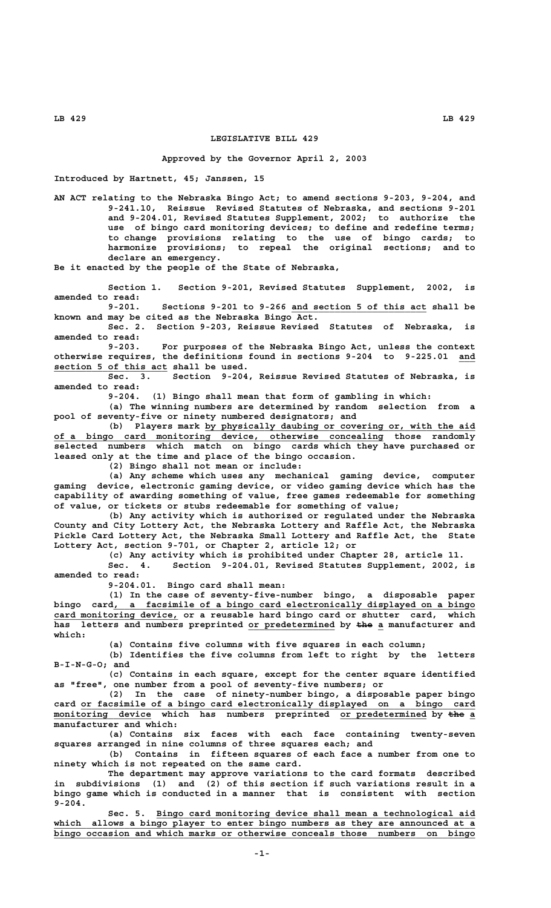## **LEGISLATIVE BILL 429**

## **Approved by the Governor April 2, 2003**

**Introduced by Hartnett, 45; Janssen, 15**

**AN ACT relating to the Nebraska Bingo Act; to amend sections 9-203, 9-204, and 9-241.10, Reissue Revised Statutes of Nebraska, and sections 9-201 and 9-204.01, Revised Statutes Supplement, 2002; to authorize the use of bingo card monitoring devices; to define and redefine terms; to change provisions relating to the use of bingo cards; to harmonize provisions; to repeal the original sections; and to declare an emergency.**

**Be it enacted by the people of the State of Nebraska,**

**Section 1. Section 9-201, Revised Statutes Supplement, 2002, is amended to read:**

 **\_\_\_\_\_\_\_\_\_\_\_\_\_\_\_\_\_\_\_\_\_\_\_\_\_ 9-201. Sections 9-201 to 9-266 and section 5 of this act shall be known and may be cited as the Nebraska Bingo Act.**

**Sec. 2. Section 9-203, Reissue Revised Statutes of Nebraska, is amended to read:**

**9-203. For purposes of the Nebraska Bingo Act, unless the context otherwise requires, the definitions found in sections 9-204 to 9-225.01 and \_\_\_ \_\_\_\_\_\_\_\_\_\_\_\_\_\_\_\_\_\_\_\_\_ section 5 of this act shall be used.**

**Sec. 3. Section 9-204, Reissue Revised Statutes of Nebraska, is amended to read:**

**9-204. (1) Bingo shall mean that form of gambling in which:**

**(a) The winning numbers are determined by random selection from a pool of seventy-five or ninety numbered designators; and**

 **\_\_\_\_\_\_\_\_\_\_\_\_\_\_\_\_\_\_\_\_\_\_\_\_\_\_\_\_\_\_\_\_\_\_\_\_\_\_\_\_\_\_\_\_\_\_\_\_\_\_ (b) Players mark by physically daubing or covering or, with the aid \_\_\_\_\_\_\_\_\_\_\_\_\_\_\_\_\_\_\_\_\_\_\_\_\_\_\_\_\_\_\_\_\_\_\_\_\_\_\_\_\_\_\_\_\_\_\_\_\_\_\_\_\_\_\_\_\_\_\_\_\_ of a bingo card monitoring device, otherwise concealing those randomly selected numbers which match on bingo cards which they have purchased or leased only at the time and place of the bingo occasion.**

**(2) Bingo shall not mean or include:**

**(a) Any scheme which uses any mechanical gaming device, computer gaming device, electronic gaming device, or video gaming device which has the capability of awarding something of value, free games redeemable for something of value, or tickets or stubs redeemable for something of value;**

**(b) Any activity which is authorized or regulated under the Nebraska County and City Lottery Act, the Nebraska Lottery and Raffle Act, the Nebraska Pickle Card Lottery Act, the Nebraska Small Lottery and Raffle Act, the State Lottery Act, section 9-701, or Chapter 2, article 12; or**

**(c) Any activity which is prohibited under Chapter 28, article 11.**

**Sec. 4. Section 9-204.01, Revised Statutes Supplement, 2002, is amended to read:**

**9-204.01. Bingo card shall mean:**

**(1) In the case of seventy-five-number bingo, a disposable paper \_\_\_\_\_\_\_\_\_\_\_\_\_\_\_\_\_\_\_\_\_\_\_\_\_\_\_\_\_\_\_\_\_\_\_\_\_\_\_\_\_\_\_\_\_\_\_\_\_\_\_\_\_\_\_\_\_\_\_\_\_\_\_\_\_\_\_ bingo card, a facsimile of a bingo card electronically displayed on a bingo** card monitoring device, or a reusable hard bingo card or shutter card, which has letters and numbers preprinted or predetermined by the a manufacturer and  **which:**

**(a) Contains five columns with five squares in each column;**

**(b) Identifies the five columns from left to right by the letters**

 **B-I-N-G-O; and**

**(c) Contains in each square, except for the center square identified as "free", one number from a pool of seventy-five numbers; or**

**(2) In the case of ninety-number bingo, a disposable paper bingo \_\_\_\_\_\_\_\_\_\_\_\_\_\_\_\_\_\_\_\_\_\_\_\_\_\_\_\_\_\_\_\_\_\_\_\_\_\_\_\_\_\_\_\_\_\_\_\_\_\_\_\_\_\_\_\_\_\_\_\_\_\_\_\_\_\_\_\_\_\_\_\_\_ card or facsimile of a bingo card electronically displayed on a bingo card** monitoring device which has numbers preprinted or predetermined by the a **manufacturer and which:**

**(a) Contains six faces with each face containing twenty-seven squares arranged in nine columns of three squares each; and**

**(b) Contains in fifteen squares of each face a number from one to ninety which is not repeated on the same card.**

**The department may approve variations to the card formats described in subdivisions (1) and (2) of this section if such variations result in a bingo game which is conducted in a manner that is consistent with section 9-204.**

 **\_\_\_\_\_\_\_\_\_\_\_\_\_\_\_\_\_\_\_\_\_\_\_\_\_\_\_\_\_\_\_\_\_\_\_\_\_\_\_\_\_\_\_\_\_\_\_\_\_\_\_\_\_\_\_\_\_\_\_ Sec. 5. Bingo card monitoring device shall mean a technological aid** which allows a bingo player to enter bingo numbers as they are announced at a  **\_\_\_\_\_\_\_\_\_\_\_\_\_\_\_\_\_\_\_\_\_\_\_\_\_\_\_\_\_\_\_\_\_\_\_\_\_\_\_\_\_\_\_\_\_\_\_\_\_\_\_\_\_\_\_\_\_\_\_\_\_\_\_\_\_\_\_\_\_\_\_\_\_\_\_\_\_\_ bingo occasion and which marks or otherwise conceals those numbers on bingo**